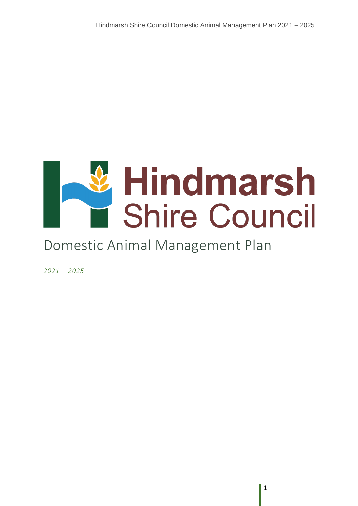# & Hindmarsh<br>
Shire Council

# Domestic Animal Management Plan

*2021 – 2025*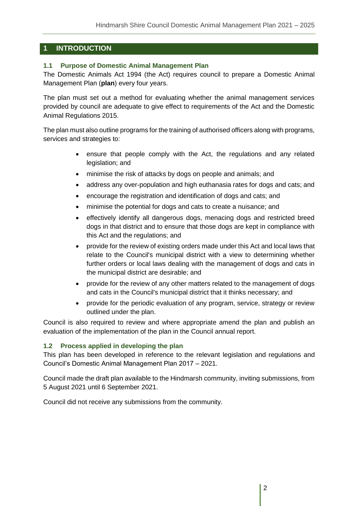# **1 INTRODUCTION**

#### **1.1 Purpose of Domestic Animal Management Plan**

The Domestic Animals Act 1994 (the Act) requires council to prepare a Domestic Animal Management Plan (**plan**) every four years.

The plan must set out a method for evaluating whether the animal management services provided by council are adequate to give effect to requirements of the Act and the Domestic Animal Regulations 2015.

The plan must also outline programs for the training of authorised officers along with programs, services and strategies to:

- ensure that people comply with the Act, the regulations and any related legislation; and
- minimise the risk of attacks by dogs on people and animals; and
- address any over-population and high euthanasia rates for dogs and cats; and
- encourage the registration and identification of dogs and cats; and
- minimise the potential for dogs and cats to create a nuisance; and
- effectively identify all dangerous dogs, menacing dogs and restricted breed dogs in that district and to ensure that those dogs are kept in compliance with this Act and the regulations; and
- provide for the review of existing orders made under this Act and local laws that relate to the Council's municipal district with a view to determining whether further orders or local laws dealing with the management of dogs and cats in the municipal district are desirable; and
- provide for the review of any other matters related to the management of dogs and cats in the Council's municipal district that it thinks necessary; and
- provide for the periodic evaluation of any program, service, strategy or review outlined under the plan.

Council is also required to review and where appropriate amend the plan and publish an evaluation of the implementation of the plan in the Council annual report.

#### **1.2 Process applied in developing the plan**

This plan has been developed in reference to the relevant legislation and regulations and Council's Domestic Animal Management Plan 2017 – 2021.

Council made the draft plan available to the Hindmarsh community, inviting submissions, from 5 August 2021 until 6 September 2021.

Council did not receive any submissions from the community.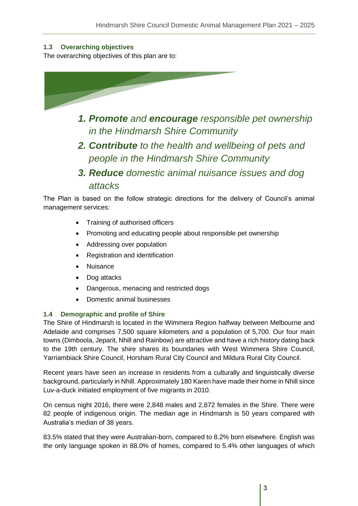# **1.3 Overarching objectives**

The overarching objectives of this plan are to:



- *1. Promote and encourage responsible pet ownership in the Hindmarsh Shire Community*
- *2. Contribute to the health and wellbeing of pets and people in the Hindmarsh Shire Community*
- *3. Reduce domestic animal nuisance issues and dog attacks*

The Plan is based on the follow strategic directions for the delivery of Council's animal management services:

- Training of authorised officers
- Promoting and educating people about responsible pet ownership
- Addressing over population
- Registration and identification
- Nuisance
- Dog attacks
- Dangerous, menacing and restricted dogs
- Domestic animal businesses

#### **1.4 Demographic and profile of Shire**

The Shire of Hindmarsh is located in the Wimmera Region halfway between Melbourne and Adelaide and comprises 7,500 square kilometers and a population of 5,700. Our four main towns (Dimboola, Jeparit, Nhill and Rainbow) are attractive and have a rich history dating back to the 19th century. The shire shares its boundaries with West Wimmera Shire Council, Yarriambiack Shire Council, Horsham Rural City Council and Mildura Rural City Council.

Recent years have seen an increase in residents from a culturally and linguistically diverse background, particularly in Nhill. Approximately 180 Karen have made their home in Nhill since Luv-a-duck initiated employment of five migrants in 2010.

On census night 2016, there were 2,848 males and 2,872 females in the Shire. There were 82 people of indigenous origin. The median age in Hindmarsh is 50 years compared with Australia's median of 38 years.

83.5% stated that they were Australian-born, compared to 8.2% born elsewhere. English was the only language spoken in 88.0% of homes, compared to 5.4% other languages of which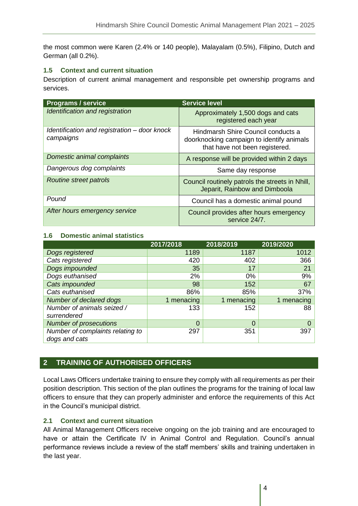the most common were Karen (2.4% or 140 people), Malayalam (0.5%), Filipino, Dutch and German (all 0.2%).

#### **1.5 Context and current situation**

Description of current animal management and responsible pet ownership programs and services.

| <b>Programs / service</b>                                 | <b>Service level</b>                                                                                              |
|-----------------------------------------------------------|-------------------------------------------------------------------------------------------------------------------|
| Identification and registration                           | Approximately 1,500 dogs and cats<br>registered each year                                                         |
| Identification and registration - door knock<br>campaigns | Hindmarsh Shire Council conducts a<br>doorknocking campaign to identify animals<br>that have not been registered. |
| Domestic animal complaints                                | A response will be provided within 2 days                                                                         |
| Dangerous dog complaints                                  | Same day response                                                                                                 |
| <b>Routine street patrols</b>                             | Council routinely patrols the streets in Nhill,<br>Jeparit, Rainbow and Dimboola                                  |
| Pound                                                     | Council has a domestic animal pound                                                                               |
| After hours emergency service                             | Council provides after hours emergency<br>service 24/7.                                                           |

#### **1.6 Domestic animal statistics**

|                                  | 2017/2018  | 2018/2019  | 2019/2020  |
|----------------------------------|------------|------------|------------|
| Dogs registered                  | 1189       | 1187       | 1012       |
| Cats registered                  | 420        | 402        | 366        |
| Dogs impounded                   | 35         | 17         | 21         |
| Dogs euthanised                  | 2%         | $0\%$      | 9%         |
| Cats impounded                   | 98         | 152        | 67         |
| Cats euthanised                  | 86%        | 85%        | 37%        |
| Number of declared dogs          | 1 menacing | 1 menacing | 1 menacing |
| Number of animals seized /       | 133        | 152        | 88         |
| surrendered                      |            |            |            |
| <b>Number of prosecutions</b>    | 0          | $\Omega$   |            |
| Number of complaints relating to | 297        | 351        | 397        |
| dogs and cats                    |            |            |            |

# **2 TRAINING OF AUTHORISED OFFICERS**

Local Laws Officers undertake training to ensure they comply with all requirements as per their position description. This section of the plan outlines the programs for the training of local law officers to ensure that they can properly administer and enforce the requirements of this Act in the Council's municipal district.

#### **2.1 Context and current situation**

All Animal Management Officers receive ongoing on the job training and are encouraged to have or attain the Certificate IV in Animal Control and Regulation. Council's annual performance reviews include a review of the staff members' skills and training undertaken in the last year.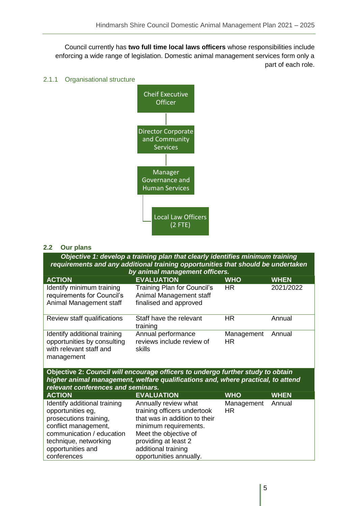Council currently has **two full time local laws officers** whose responsibilities include enforcing a wide range of legislation. Domestic animal management services form only a part of each role.

#### 2.1.1 Organisational structure



#### **2.2 Our plans**

*Objective 1: develop a training plan that clearly identifies minimum training requirements and any additional training opportunities that should be undertaken* 

| by animal management officers.                                                                       |                                                                                  |                   |             |
|------------------------------------------------------------------------------------------------------|----------------------------------------------------------------------------------|-------------------|-------------|
| <b>ACTION</b>                                                                                        | <b>EVALUATION</b>                                                                | <b>WHO</b>        | <b>WHEN</b> |
| Identify minimum training<br>requirements for Council's<br>Animal Management staff                   | Training Plan for Council's<br>Animal Management staff<br>finalised and approved | <b>HR</b>         | 2021/2022   |
| Review staff qualifications                                                                          | Staff have the relevant<br>training                                              | HR.               | Annual      |
| Identify additional training<br>opportunities by consulting<br>with relevant staff and<br>management | Annual performance<br>reviews include review of<br>skills                        | Management<br>HR. | Annual      |

**Objective 2:** *Council will encourage officers to undergo further study to obtain higher animal management, welfare qualifications and, where practical, to attend relevant conferences and seminars.*

| <b>ACTION</b>                | <b>EVALUATION</b>             | <b>WHO</b>        | <b>WHEN</b> |
|------------------------------|-------------------------------|-------------------|-------------|
| Identify additional training | Annually review what          | Management Annual |             |
| opportunities eg,            | training officers undertook   | HR.               |             |
| prosecutions training,       | that was in addition to their |                   |             |
| conflict management,         | minimum requirements.         |                   |             |
| communication / education    | Meet the objective of         |                   |             |
| technique, networking        | providing at least 2          |                   |             |
| opportunities and            | additional training           |                   |             |
| conferences                  | opportunities annually.       |                   |             |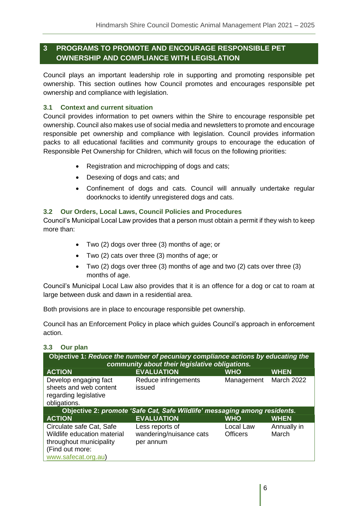# **3 PROGRAMS TO PROMOTE AND ENCOURAGE RESPONSIBLE PET OWNERSHIP AND COMPLIANCE WITH LEGISLATION**

Council plays an important leadership role in supporting and promoting responsible pet ownership. This section outlines how Council promotes and encourages responsible pet ownership and compliance with legislation.

# **3.1 Context and current situation**

Council provides information to pet owners within the Shire to encourage responsible pet ownership. Council also makes use of social media and newsletters to promote and encourage responsible pet ownership and compliance with legislation. Council provides information packs to all educational facilities and community groups to encourage the education of Responsible Pet Ownership for Children, which will focus on the following priorities:

- Registration and microchipping of dogs and cats;
- Desexing of dogs and cats; and
- Confinement of dogs and cats. Council will annually undertake regular doorknocks to identify unregistered dogs and cats.

#### **3.2 Our Orders, Local Laws, Council Policies and Procedures**

Council's Municipal Local Law provides that a person must obtain a permit if they wish to keep more than:

- Two (2) dogs over three (3) months of age; or
- Two (2) cats over three (3) months of age; or
- Two (2) dogs over three (3) months of age and two (2) cats over three (3) months of age.

Council's Municipal Local Law also provides that it is an offence for a dog or cat to roam at large between dusk and dawn in a residential area.

Both provisions are in place to encourage responsible pet ownership.

Council has an Enforcement Policy in place which guides Council's approach in enforcement action.

#### **3.3 Our plan**

| Objective 1: Reduce the number of pecuniary compliance actions by educating the<br>community about their legislative obligations. |                                                                           |                              |                      |
|-----------------------------------------------------------------------------------------------------------------------------------|---------------------------------------------------------------------------|------------------------------|----------------------|
| <b>ACTION</b>                                                                                                                     | <b>EVALUATION</b>                                                         | <b>WHO</b>                   | <b>WHEN</b>          |
| Develop engaging fact<br>sheets and web content<br>regarding legislative<br>obligations.                                          | Reduce infringements<br>issued                                            | Management                   | <b>March 2022</b>    |
|                                                                                                                                   | Objective 2: promote 'Safe Cat, Safe Wildlife' messaging among residents. |                              |                      |
| <b>ACTION</b>                                                                                                                     | <b>EVALUATION</b>                                                         | <b>WHO</b>                   | <b>WHEN</b>          |
| Circulate safe Cat, Safe<br>Wildlife education material<br>throughout municipality<br>(Find out more:<br>www.safecat.org.au)      | Less reports of<br>wandering/nuisance cats<br>per annum                   | Local Law<br><b>Officers</b> | Annually in<br>March |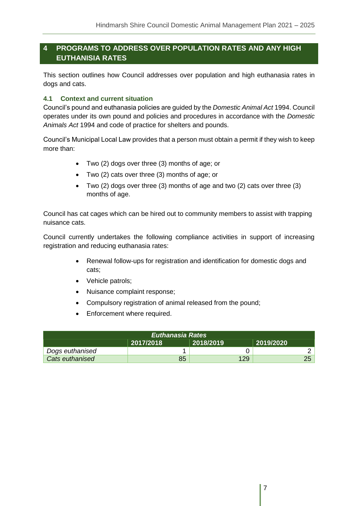# **4 PROGRAMS TO ADDRESS OVER POPULATION RATES AND ANY HIGH EUTHANISIA RATES**

This section outlines how Council addresses over population and high euthanasia rates in dogs and cats.

#### **4.1 Context and current situation**

Council's pound and euthanasia policies are guided by the *Domestic Animal Act* 1994. Council operates under its own pound and policies and procedures in accordance with the *Domestic Animals Act* 1994 and code of practice for shelters and pounds.

Council's Municipal Local Law provides that a person must obtain a permit if they wish to keep more than:

- Two (2) dogs over three (3) months of age; or
- Two (2) cats over three (3) months of age; or
- Two (2) dogs over three (3) months of age and two (2) cats over three (3) months of age.

Council has cat cages which can be hired out to community members to assist with trapping nuisance cats.

Council currently undertakes the following compliance activities in support of increasing registration and reducing euthanasia rates:

- Renewal follow-ups for registration and identification for domestic dogs and cats;
- Vehicle patrols:
- Nuisance complaint response;
- Compulsory registration of animal released from the pound;
- Enforcement where required.

| <b>Euthanasia Rates</b>               |    |     |  |  |
|---------------------------------------|----|-----|--|--|
| 2018/2019<br>2017/2018<br>  2019/2020 |    |     |  |  |
| Dogs euthanised                       |    |     |  |  |
| <b>Cats euthanised</b>                | 85 | 129 |  |  |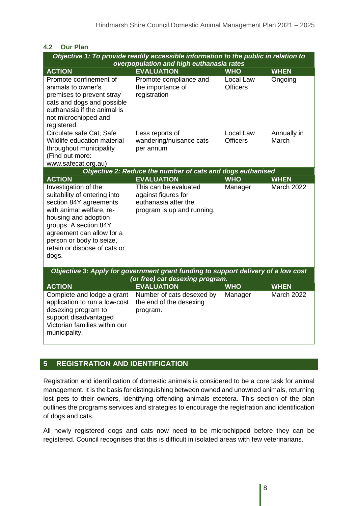| 4.2<br><b>Our Plan</b>                          |                                                                                     |                              |             |  |
|-------------------------------------------------|-------------------------------------------------------------------------------------|------------------------------|-------------|--|
|                                                 | Objective 1: To provide readily accessible information to the public in relation to |                              |             |  |
| overpopulation and high euthanasia rates        |                                                                                     |                              |             |  |
| <b>ACTION</b>                                   | <b>EVALUATION</b>                                                                   | <b>WHO</b>                   | <b>WHEN</b> |  |
| Promote confinement of                          | Promote compliance and                                                              | Local Law<br><b>Officers</b> | Ongoing     |  |
| animals to owner's<br>premises to prevent stray | the importance of<br>registration                                                   |                              |             |  |
| cats and dogs and possible                      |                                                                                     |                              |             |  |
| euthanasia if the animal is                     |                                                                                     |                              |             |  |
| not microchipped and                            |                                                                                     |                              |             |  |
| registered.                                     |                                                                                     |                              |             |  |
| Circulate safe Cat, Safe                        | Less reports of                                                                     | Local Law                    | Annually in |  |
| Wildlife education material                     | wandering/nuisance cats                                                             | <b>Officers</b>              | March       |  |
| throughout municipality                         | per annum                                                                           |                              |             |  |
| (Find out more:                                 |                                                                                     |                              |             |  |
| www.safecat.org.au)                             | Objective 2: Reduce the number of cats and dogs euthanised                          |                              |             |  |
| <b>ACTION</b>                                   | <b>EVALUATION</b>                                                                   | <b>WHO</b>                   | <b>WHEN</b> |  |
| Investigation of the                            | This can be evaluated                                                               | Manager                      | March 2022  |  |
| suitability of entering into                    | against figures for                                                                 |                              |             |  |
| section 84Y agreements                          | euthanasia after the                                                                |                              |             |  |
| with animal welfare, re-                        | program is up and running.                                                          |                              |             |  |
| housing and adoption                            |                                                                                     |                              |             |  |
| groups. A section 84Y                           |                                                                                     |                              |             |  |
| agreement can allow for a                       |                                                                                     |                              |             |  |
| person or body to seize,                        |                                                                                     |                              |             |  |
| retain or dispose of cats or<br>dogs.           |                                                                                     |                              |             |  |
|                                                 |                                                                                     |                              |             |  |
|                                                 | Objective 3: Apply for government grant funding to support delivery of a low cost   |                              |             |  |
|                                                 | (or free) cat desexing program.                                                     |                              |             |  |
| <b>ACTION</b>                                   | <b>EVALUATION</b>                                                                   | <b>WHO</b>                   | <b>WHEN</b> |  |
| Complete and lodge a grant                      | Number of cats desexed by                                                           | Manager                      | March 2022  |  |
| application to run a low-cost                   | the end of the desexing                                                             |                              |             |  |
| desexing program to<br>support disadvantaged    | program.                                                                            |                              |             |  |
| Victorian families within our                   |                                                                                     |                              |             |  |
| municipality.                                   |                                                                                     |                              |             |  |
|                                                 |                                                                                     |                              |             |  |

# **5 REGISTRATION AND IDENTIFICATION**

Registration and identification of domestic animals is considered to be a core task for animal management. It is the basis for distinguishing between owned and unowned animals, returning lost pets to their owners, identifying offending animals etcetera. This section of the plan outlines the programs services and strategies to encourage the registration and identification of dogs and cats.

All newly registered dogs and cats now need to be microchipped before they can be registered. Council recognises that this is difficult in isolated areas with few veterinarians.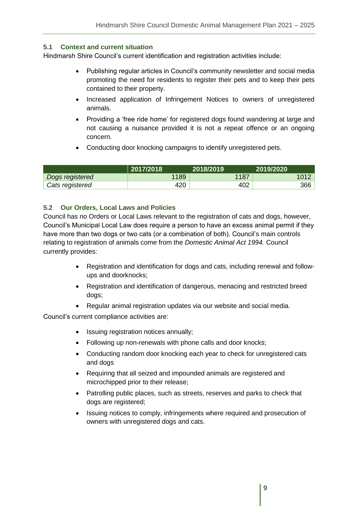# **5.1 Context and current situation**

Hindmarsh Shire Council's current identification and registration activities include:

- Publishing regular articles in Council's community newsletter and social media promoting the need for residents to register their pets and to keep their pets contained to their property.
- Increased application of Infringement Notices to owners of unregistered animals.
- Providing a 'free ride home' for registered dogs found wandering at large and not causing a nuisance provided it is not a repeat offence or an ongoing concern.
- Conducting door knocking campaigns to identify unregistered pets.

|                 | 2017/2018 | 2018/2019 | 2019/2020 |
|-----------------|-----------|-----------|-----------|
| Dogs registered | 1189      | 1187      | 1017      |
| Cats registered | 420       | 402       | 366       |

# **5.2 Our Orders, Local Laws and Policies**

Council has no Orders or Local Laws relevant to the registration of cats and dogs, however, Council's Municipal Local Law does require a person to have an excess animal permit if they have more than two dogs or two cats (or a combination of both). Council's main controls relating to registration of animals come from the *Domestic Animal Act 1994.* Council currently provides:

- Registration and identification for dogs and cats, including renewal and followups and doorknocks;
- Registration and identification of dangerous, menacing and restricted breed dogs;
- Regular animal registration updates via our website and social media.

Council's current compliance activities are:

- Issuing registration notices annually;
- Following up non-renewals with phone calls and door knocks;
- Conducting random door knocking each year to check for unregistered cats and dogs
- Requiring that all seized and impounded animals are registered and microchipped prior to their release;
- Patrolling public places, such as streets, reserves and parks to check that dogs are registered;
- Issuing notices to comply, infringements where required and prosecution of owners with unregistered dogs and cats.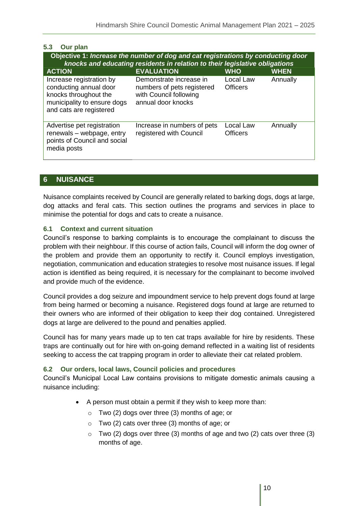| 5.3 | Our plan |
|-----|----------|
|     |          |

| Objective 1: Increase the number of dog and cat registrations by conducting door<br>knocks and educating residents in relation to their legislative obligations |                                                                                                       |                              |             |
|-----------------------------------------------------------------------------------------------------------------------------------------------------------------|-------------------------------------------------------------------------------------------------------|------------------------------|-------------|
| <b>ACTION</b>                                                                                                                                                   | <b>EVALUATION</b>                                                                                     | <b>WHO</b>                   | <b>WHEN</b> |
| Increase registration by<br>conducting annual door<br>knocks throughout the<br>municipality to ensure dogs<br>and cats are registered                           | Demonstrate increase in<br>numbers of pets registered<br>with Council following<br>annual door knocks | Local Law<br><b>Officers</b> | Annually    |
| Advertise pet registration<br>renewals - webpage, entry<br>points of Council and social<br>media posts                                                          | Increase in numbers of pets<br>registered with Council                                                | Local Law<br><b>Officers</b> | Annually    |

#### **6 NUISANCE**

Nuisance complaints received by Council are generally related to barking dogs, dogs at large, dog attacks and feral cats. This section outlines the programs and services in place to minimise the potential for dogs and cats to create a nuisance.

#### **6.1 Context and current situation**

Council's response to barking complaints is to encourage the complainant to discuss the problem with their neighbour. If this course of action fails, Council will inform the dog owner of the problem and provide them an opportunity to rectify it. Council employs investigation, negotiation, communication and education strategies to resolve most nuisance issues. If legal action is identified as being required, it is necessary for the complainant to become involved and provide much of the evidence.

Council provides a dog seizure and impoundment service to help prevent dogs found at large from being harmed or becoming a nuisance. Registered dogs found at large are returned to their owners who are informed of their obligation to keep their dog contained. Unregistered dogs at large are delivered to the pound and penalties applied.

Council has for many years made up to ten cat traps available for hire by residents. These traps are continually out for hire with on-going demand reflected in a waiting list of residents seeking to access the cat trapping program in order to alleviate their cat related problem.

#### **6.2 Our orders, local laws, Council policies and procedures**

Council's Municipal Local Law contains provisions to mitigate domestic animals causing a nuisance including:

- A person must obtain a permit if they wish to keep more than:
	- o Two (2) dogs over three (3) months of age; or
	- o Two (2) cats over three (3) months of age; or
	- $\circ$  Two (2) dogs over three (3) months of age and two (2) cats over three (3) months of age.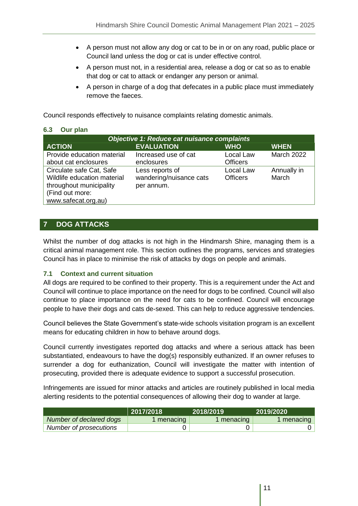- A person must not allow any dog or cat to be in or on any road, public place or Council land unless the dog or cat is under effective control.
- A person must not, in a residential area, release a dog or cat so as to enable that dog or cat to attack or endanger any person or animal.
- A person in charge of a dog that defecates in a public place must immediately remove the faeces.

Council responds effectively to nuisance complaints relating domestic animals.

#### **6.3 Our plan**

| <b>Objective 1: Reduce cat nuisance complaints</b>                                                                           |                                                          |                              |                      |
|------------------------------------------------------------------------------------------------------------------------------|----------------------------------------------------------|------------------------------|----------------------|
| <b>ACTION</b>                                                                                                                | <b>EVALUATION</b>                                        | <b>WHO</b>                   | <b>WHEN</b>          |
| Provide education material<br>about cat enclosures                                                                           | Increased use of cat<br>enclosures                       | Local Law<br><b>Officers</b> | <b>March 2022</b>    |
| Circulate safe Cat, Safe<br>Wildlife education material<br>throughout municipality<br>(Find out more:<br>www.safecat.org.au) | Less reports of<br>wandering/nuisance cats<br>per annum. | Local Law<br><b>Officers</b> | Annually in<br>March |

# **7 DOG ATTACKS**

Whilst the number of dog attacks is not high in the Hindmarsh Shire, managing them is a critical animal management role. This section outlines the programs, services and strategies Council has in place to minimise the risk of attacks by dogs on people and animals.

#### **7.1 Context and current situation**

All dogs are required to be confined to their property. This is a requirement under the Act and Council will continue to place importance on the need for dogs to be confined. Council will also continue to place importance on the need for cats to be confined. Council will encourage people to have their dogs and cats de-sexed. This can help to reduce aggressive tendencies.

Council believes the State Government's state-wide schools visitation program is an excellent means for educating children in how to behave around dogs.

Council currently investigates reported dog attacks and where a serious attack has been substantiated, endeavours to have the dog(s) responsibly euthanized. If an owner refuses to surrender a dog for euthanization, Council will investigate the matter with intention of prosecuting, provided there is adequate evidence to support a successful prosecution.

Infringements are issued for minor attacks and articles are routinely published in local media alerting residents to the potential consequences of allowing their dog to wander at large.

|                         | 2017/2018 | 2018/2019  | 2019/2020  |
|-------------------------|-----------|------------|------------|
| Number of declared dogs | menacing  | 1 menacing | 1 menacing |
| Number of prosecutions  |           |            |            |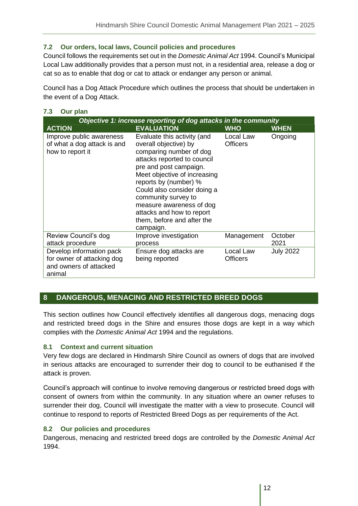# **7.2 Our orders, local laws, Council policies and procedures**

Council follows the requirements set out in the *Domestic Animal Act* 1994. Council's Municipal Local Law additionally provides that a person must not, in a residential area, release a dog or cat so as to enable that dog or cat to attack or endanger any person or animal.

Council has a Dog Attack Procedure which outlines the process that should be undertaken in the event of a Dog Attack.

#### **7.3 Our plan**

| Objective 1: increase reporting of dog attacks in the community                            |                                                                                                                                                                                                                                                                                                                                                             |                              |                  |  |  |
|--------------------------------------------------------------------------------------------|-------------------------------------------------------------------------------------------------------------------------------------------------------------------------------------------------------------------------------------------------------------------------------------------------------------------------------------------------------------|------------------------------|------------------|--|--|
| <b>ACTION</b>                                                                              | <b>EVALUATION</b>                                                                                                                                                                                                                                                                                                                                           | <b>WHO</b>                   | <b>WHEN</b>      |  |  |
| Improve public awareness<br>of what a dog attack is and<br>how to report it                | Evaluate this activity (and<br>overall objective) by<br>comparing number of dog<br>attacks reported to council<br>pre and post campaign.<br>Meet objective of increasing<br>reports by (number) %<br>Could also consider doing a<br>community survey to<br>measure awareness of dog<br>attacks and how to report<br>them, before and after the<br>campaign. | Local Law<br><b>Officers</b> | Ongoing          |  |  |
| Review Council's dog<br>attack procedure                                                   | Improve investigation<br>process                                                                                                                                                                                                                                                                                                                            | Management                   | October<br>2021  |  |  |
| Develop information pack<br>for owner of attacking dog<br>and owners of attacked<br>animal | Ensure dog attacks are<br>being reported                                                                                                                                                                                                                                                                                                                    | Local Law<br><b>Officers</b> | <b>July 2022</b> |  |  |

# **8 DANGEROUS, MENACING AND RESTRICTED BREED DOGS**

This section outlines how Council effectively identifies all dangerous dogs, menacing dogs and restricted breed dogs in the Shire and ensures those dogs are kept in a way which complies with the *Domestic Animal Act* 1994 and the regulations.

#### **8.1 Context and current situation**

Very few dogs are declared in Hindmarsh Shire Council as owners of dogs that are involved in serious attacks are encouraged to surrender their dog to council to be euthanised if the attack is proven.

Council's approach will continue to involve removing dangerous or restricted breed dogs with consent of owners from within the community. In any situation where an owner refuses to surrender their dog, Council will investigate the matter with a view to prosecute. Council will continue to respond to reports of Restricted Breed Dogs as per requirements of the Act.

#### **8.2 Our policies and procedures**

Dangerous, menacing and restricted breed dogs are controlled by the *Domestic Animal Act*  1994.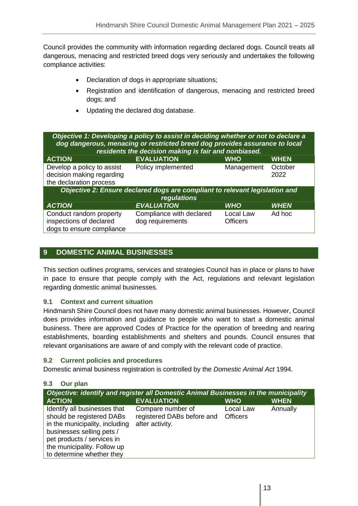Council provides the community with information regarding declared dogs. Council treats all dangerous, menacing and restricted breed dogs very seriously and undertakes the following compliance activities:

- Declaration of dogs in appropriate situations;
- Registration and identification of dangerous, menacing and restricted breed dogs; and
- Updating the declared dog database.

| Objective 1: Developing a policy to assist in deciding whether or not to declare a<br>dog dangerous, menacing or restricted breed dog provides assurance to local<br>residents the decision making is fair and nonbiased. |                                              |                              |                 |  |  |
|---------------------------------------------------------------------------------------------------------------------------------------------------------------------------------------------------------------------------|----------------------------------------------|------------------------------|-----------------|--|--|
| <b>ACTION</b>                                                                                                                                                                                                             | <b>EVALUATION</b>                            | <b>WHO</b>                   | <b>WHEN</b>     |  |  |
| Develop a policy to assist<br>decision making regarding<br>the declaration process                                                                                                                                        | Policy implemented                           | Management                   | October<br>2022 |  |  |
| Objective 2: Ensure declared dogs are compliant to relevant legislation and<br>regulations                                                                                                                                |                                              |                              |                 |  |  |
| <b>ACTION</b>                                                                                                                                                                                                             | <b>EVALUATION</b>                            | <b>WHO</b>                   | <b>WHEN</b>     |  |  |
| Conduct random property<br>inspections of declared<br>dogs to ensure compliance                                                                                                                                           | Compliance with declared<br>dog requirements | Local Law<br><b>Officers</b> | Ad hoc          |  |  |

# **9 DOMESTIC ANIMAL BUSINESSES**

This section outlines programs, services and strategies Council has in place or plans to have in pace to ensure that people comply with the Act, regulations and relevant legislation regarding domestic animal businesses.

#### **9.1 Context and current situation**

Hindmarsh Shire Council does not have many domestic animal businesses. However, Council does provides information and guidance to people who want to start a domestic animal business. There are approved Codes of Practice for the operation of breeding and rearing establishments, boarding establishments and shelters and pounds. Council ensures that relevant organisations are aware of and comply with the relevant code of practice.

#### **9.2 Current policies and procedures**

Domestic animal business registration is controlled by the *Domestic Animal Act* 1994.

#### **9.3 Our plan**

| Objective: identify and register all Domestic Animal Businesses in the municipality                                                                                                                                |                                                                    |                              |             |  |  |
|--------------------------------------------------------------------------------------------------------------------------------------------------------------------------------------------------------------------|--------------------------------------------------------------------|------------------------------|-------------|--|--|
| <b>ACTION</b>                                                                                                                                                                                                      | <b>EVALUATION</b>                                                  | <b>WHO</b>                   | <b>WHEN</b> |  |  |
| Identify all businesses that<br>should be registered DABs<br>in the municipality, including<br>businesses selling pets /<br>pet products / services in<br>the municipality. Follow up<br>to determine whether they | Compare number of<br>registered DABs before and<br>after activity. | Local Law<br><b>Officers</b> | Annually    |  |  |